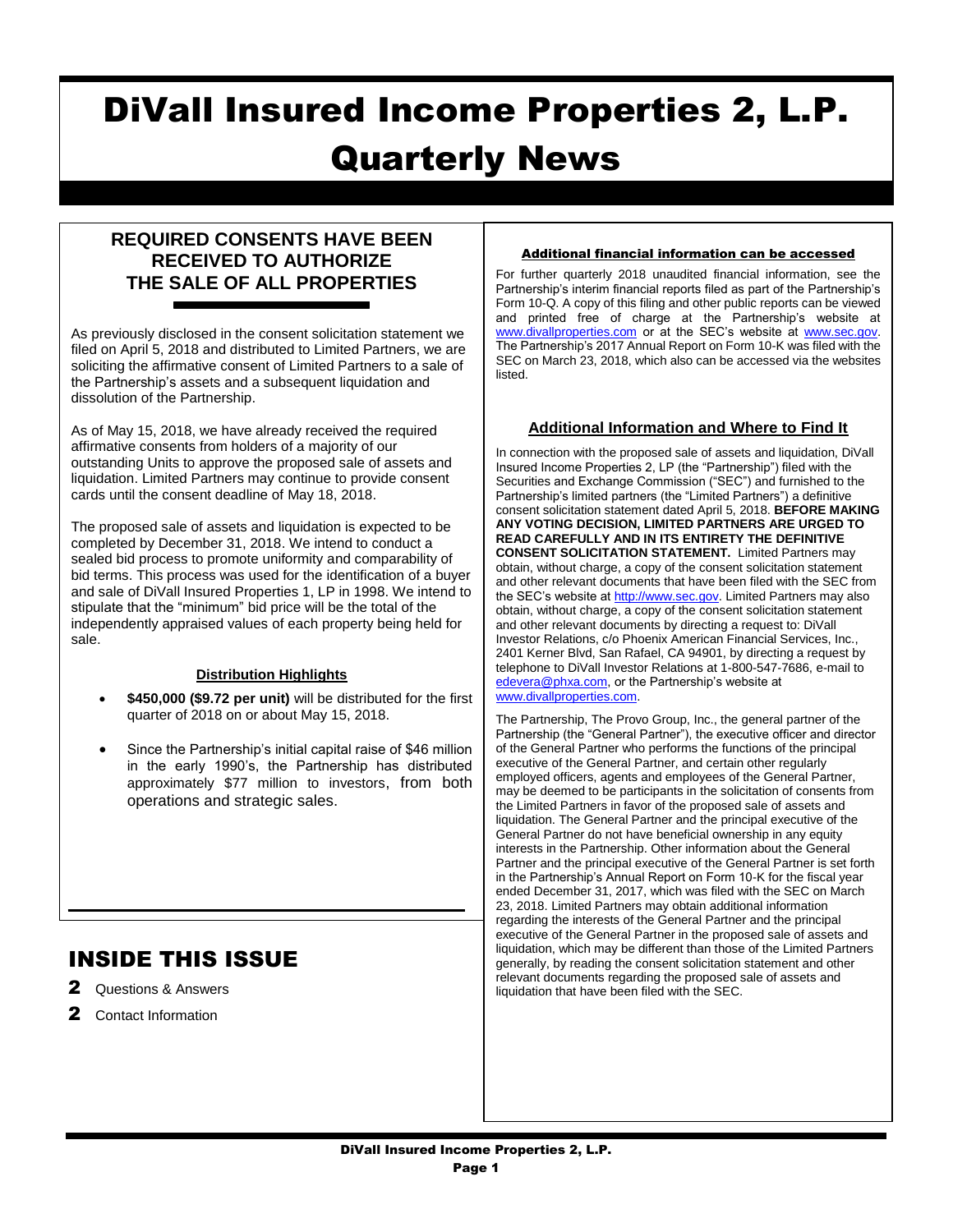# DiVall Insured Income Properties 2, L.P. Quarterly News

### **REQUIRED CONSENTS HAVE BEEN RECEIVED TO AUTHORIZE THE SALE OF ALL PROPERTIES**

As previously disclosed in the consent solicitation statement we filed on April 5, 2018 and distributed to Limited Partners, we are soliciting the affirmative consent of Limited Partners to a sale of the Partnership's assets and a subsequent liquidation and dissolution of the Partnership.

As of May 15, 2018, we have already received the required affirmative consents from holders of a majority of our outstanding Units to approve the proposed sale of assets and liquidation. Limited Partners may continue to provide consent cards until the consent deadline of May 18, 2018.

The proposed sale of assets and liquidation is expected to be completed by December 31, 2018. We intend to conduct a sealed bid process to promote uniformity and comparability of bid terms. This process was used for the identification of a buyer and sale of DiVall Insured Properties 1, LP in 1998. We intend to stipulate that the "minimum" bid price will be the total of the independently appraised values of each property being held for sale.

#### **Distribution Highlights**

- **\$450,000 (\$9.72 per unit)** will be distributed for the first quarter of 2018 on or about May 15, 2018.
- Since the Partnership's initial capital raise of \$46 million in the early 1990's, the Partnership has distributed approximately \$77 million to investors, from both operations and strategic sales.

 $\mathcal{L}_\text{max}$  and  $\mathcal{L}_\text{max}$  and  $\mathcal{L}_\text{max}$  and  $\mathcal{L}_\text{max}$  and  $\mathcal{L}_\text{max}$ 

## INSIDE THIS ISSUE

- 2 Questions & Answers
- 2 Contact Information

#### Additional financial information can be accessed

For further quarterly 2018 unaudited financial information, see the Partnership's interim financial reports filed as part of the Partnership's Form 10-Q. A copy of this filing and other public reports can be viewed and printed free of charge at the Partnership's website at [www.divallproperties.com](http://www.divallproperties.com/) or at the SEC's website at [www.sec.gov.](http://www.sec.gov/) The Partnership's 2017 Annual Report on Form 10-K was filed with the SEC on March 23, 2018, which also can be accessed via the websites listed.

#### **Additional Information and Where to Find It**

In connection with the proposed sale of assets and liquidation, DiVall Insured Income Properties 2, LP (the "Partnership") filed with the Securities and Exchange Commission ("SEC") and furnished to the Partnership's limited partners (the "Limited Partners") a definitive consent solicitation statement dated April 5, 2018. **BEFORE MAKING ANY VOTING DECISION, LIMITED PARTNERS ARE URGED TO READ CAREFULLY AND IN ITS ENTIRETY THE DEFINITIVE CONSENT SOLICITATION STATEMENT.** Limited Partners may obtain, without charge, a copy of the consent solicitation statement and other relevant documents that have been filed with the SEC from the SEC's website a[t http://www.sec.gov.](http://www.sec.gov/) Limited Partners may also obtain, without charge, a copy of the consent solicitation statement and other relevant documents by directing a request to: DiVall Investor Relations, c/o Phoenix American Financial Services, Inc., 2401 Kerner Blvd, San Rafael, CA 94901, by directing a request by telephone to DiVall Investor Relations at 1-800-547-7686, e-mail to [edevera@phxa.com,](mailto:edevera@phxa.com) or the Partnership's website at [www.divallproperties.com.](http://www.divallproperties.com/) 

The Partnership, The Provo Group, Inc., the general partner of the Partnership (the "General Partner"), the executive officer and director of the General Partner who performs the functions of the principal executive of the General Partner, and certain other regularly employed officers, agents and employees of the General Partner, may be deemed to be participants in the solicitation of consents from the Limited Partners in favor of the proposed sale of assets and liquidation. The General Partner and the principal executive of the General Partner do not have beneficial ownership in any equity interests in the Partnership. Other information about the General Partner and the principal executive of the General Partner is set forth in the Partnership's Annual Report on Form 10-K for the fiscal year ended December 31, 2017, which was filed with the SEC on March 23, 2018. Limited Partners may obtain additional information regarding the interests of the General Partner and the principal executive of the General Partner in the proposed sale of assets and liquidation, which may be different than those of the Limited Partners generally, by reading the consent solicitation statement and other relevant documents regarding the proposed sale of assets and liquidation that have been filed with the SEC.